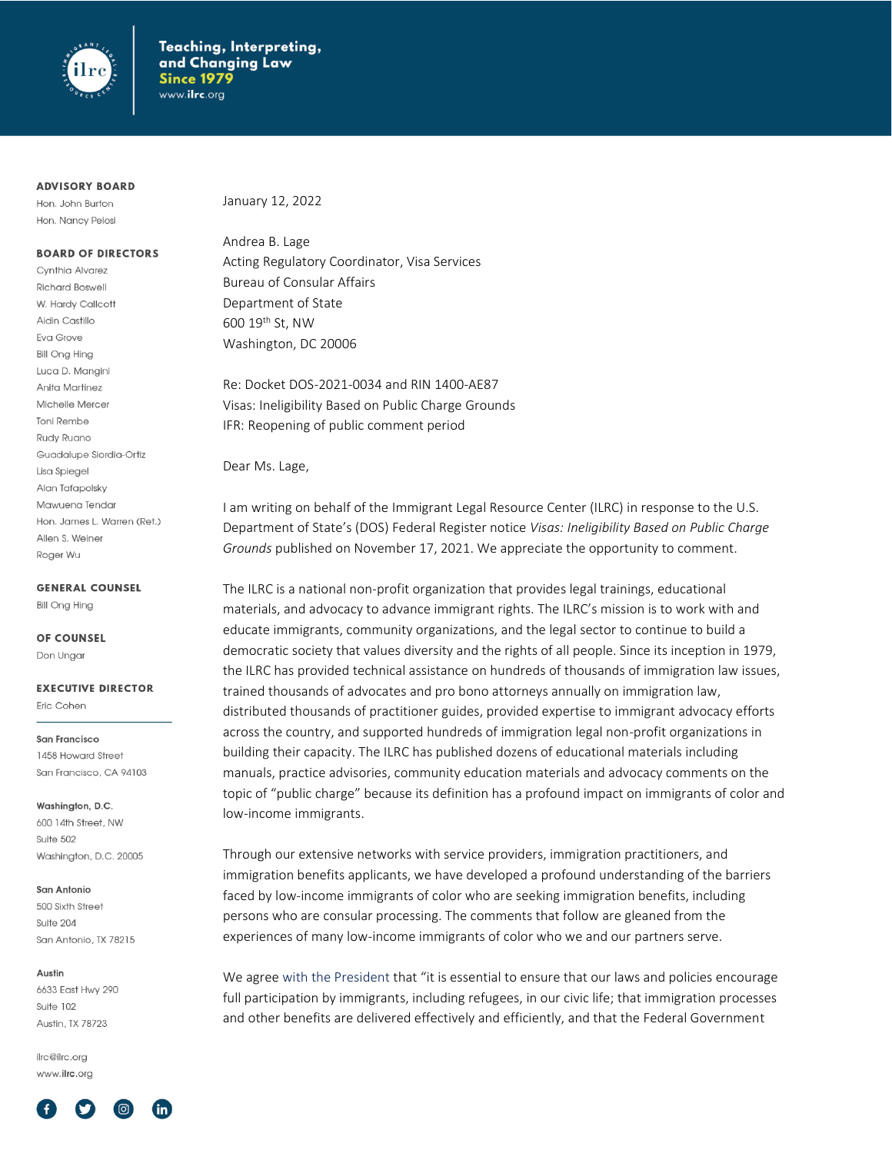

#### **ADVISORY BOARD**

Hon. John Burton Hon. Nancy Pelosi

#### **BOARD OF DIRECTORS**

Cvnthia Alvarez **Richard Boswell** W. Hardy Callcott Aidin Castillo Eva Grove **Bill Ong Hing** Luca D. Mangini Anita Martinez Michelle Mercer **Toni Rembe Rudy Ruano** Guadalupe Siordia-Ortiz Lisa Spiegel Alan Tafapolsky Mawuena Tendar Hon. James L. Warren (Ret.) Allen S. Weiner Roger Wu

**GENERAL COUNSEL** 

**Bill Ona Hina** 

#### **OF COUNSEL**

Don Ungar

**EXECUTIVE DIRECTOR** 

Fric Cohen

**San Francisco** 1458 Howard Street San Francisco, CA 94103

Washington, D.C.

600 14th Street, NW Suite 502 Washington, D.C. 20005

#### San Antonio

500 Sixth Street Suite 204 San Antonio, TX 78215

#### Austin

6633 East Hwy 290 Suite 102 Austin, TX 78723

ilrc@ilrc.org www.ilrc.org



January 12, 2022

Andrea B. Lage Acting Regulatory Coordinator, Visa Services Bureau of Consular Affairs Department of State  $600$  19<sup>th</sup> St, NW Washington, DC 20006

Re: Docket DOS-2021-0034 and RIN 1400-AE87 Visas: Ineligibility Based on Public Charge Grounds IFR: Reopening of public comment period

Dear Ms. Lage,

I am writing on behalf of the Immigrant Legal Resource Center (ILRC) in response to the U.S. Department of State's (DOS) Federal Register notice *Visas: Ineligibility Based on Public Charge Grounds* published on November 17, 2021. We appreciate the opportunity to comment.

The ILRC is a national non-profit organization that provides legal trainings, educational materials, and advocacy to advance immigrant rights. The ILRC's mission is to work with and educate immigrants, community organizations, and the legal sector to continue to build a democratic society that values diversity and the rights of all people. Since its inception in 1979, the ILRC has provided technical assistance on hundreds of thousands of immigration law issues, trained thousands of advocates and pro bono attorneys annually on immigration law, distributed thousands of practitioner guides, provided expertise to immigrant advocacy efforts across the country, and supported hundreds of immigration legal non-profit organizations in building their capacity. The ILRC has published dozens of educational materials including manuals, practice advisories, community education materials and advocacy comments on the topic of "public charge" because its definition has a profound impact on immigrants of color and low-income immigrants.

Through our extensive networks with service providers, immigration practitioners, and immigration benefits applicants, we have developed a profound understanding of the barriers faced by low-income immigrants of color who are seeking immigration benefits, including persons who are consular processing. The comments that follow are gleaned from the experiences of many low-income immigrants of color who we and our partners serve.

We agree with the President that "it is essential to ensure that our laws and policies encourage full participation by immigrants, including refugees, in our civic life; that immigration processes and other benefits are delivered effectively and efficiently, and that the Federal Government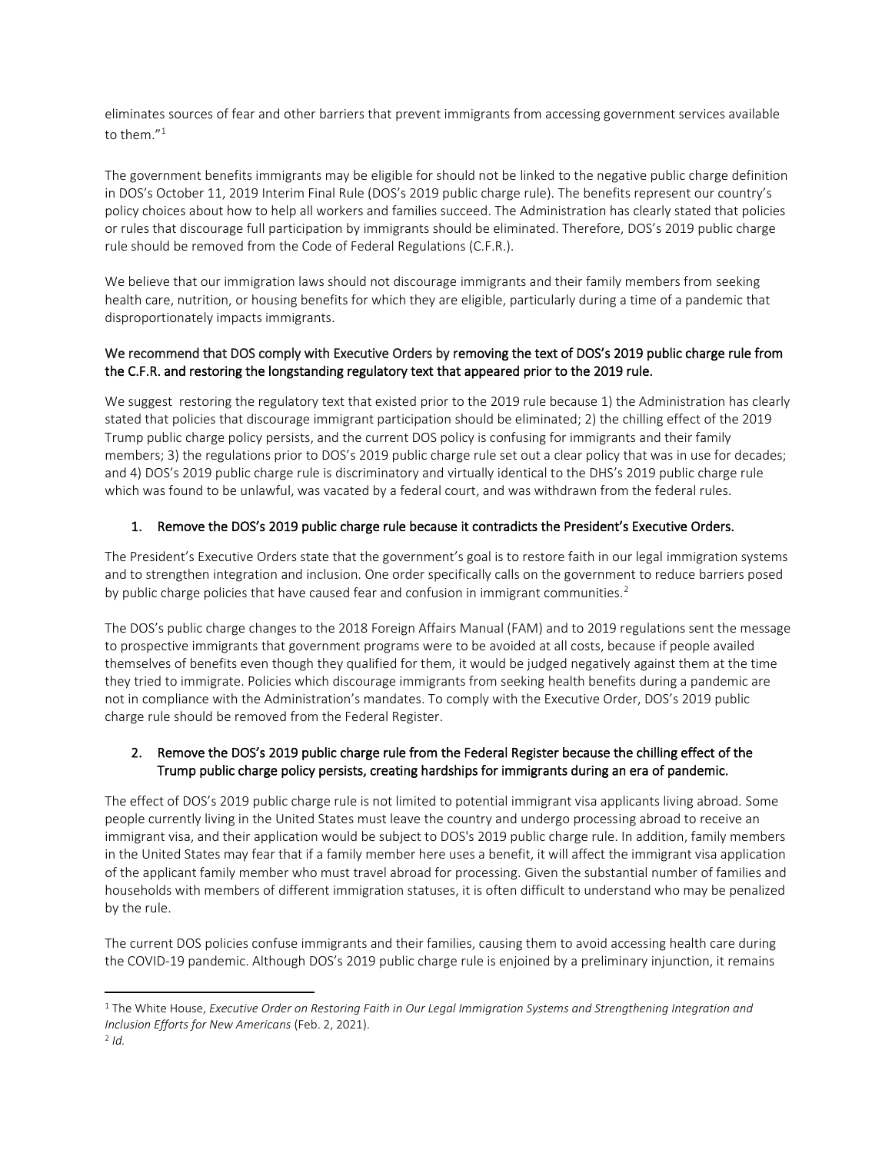eliminates sources of fear and other barriers that prevent immigrants from accessing government services available to them."<sup>1</sup>

The government benefits immigrants may be eligible for should not be linked to the negative public charge definition in DOS's October 11, 2019 Interim Final Rule (DOS's 2019 public charge rule). The benefits represent our country's policy choices about how to help all workers and families succeed. The Administration has clearly stated that policies or rules that discourage full participation by immigrants should be eliminated. Therefore, DOS's 2019 public charge rule should be removed from the Code of Federal Regulations (C.F.R.).

We believe that our immigration laws should not discourage immigrants and their family members from seeking health care, nutrition, or housing benefits for which they are eligible, particularly during a time of a pandemic that disproportionately impacts immigrants.

## We recommend that DOS comply with Executive Orders by removing the text of DOS's 2019 public charge rule from the C.F.R. and restoring the longstanding regulatory text that appeared prior to the 2019 rule.

We suggest restoring the regulatory text that existed prior to the 2019 rule because 1) the Administration has clearly stated that policies that discourage immigrant participation should be eliminated; 2) the chilling effect of the 2019 Trump public charge policy persists, and the current DOS policy is confusing for immigrants and their family members; 3) the regulations prior to DOS's 2019 public charge rule set out a clear policy that was in use for decades; and 4) DOS's 2019 public charge rule is discriminatory and virtually identical to the DHS's 2019 public charge rule which was found to be unlawful, was vacated by a federal court, and was withdrawn from the federal rules.

# 1. Remove the DOS's 2019 public charge rule because it contradicts the President's Executive Orders.

The President's Executive Orders state that the government's goal is to restore faith in our legal immigration systems and to strengthen integration and inclusion. One order specifically calls on the government to reduce barriers posed by public charge policies that have caused fear and confusion in immigrant communities.<sup>2</sup>

The DOS's public charge changes to the 2018 Foreign Affairs Manual (FAM) and to 2019 regulations sent the message to prospective immigrants that government programs were to be avoided at all costs, because if people availed themselves of benefits even though they qualified for them, it would be judged negatively against them at the time they tried to immigrate. Policies which discourage immigrants from seeking health benefits during a pandemic are not in compliance with the Administration's mandates. To comply with the Executive Order, DOS's 2019 public charge rule should be removed from the Federal Register.

## 2. Remove the DOS's 2019 public charge rule from the Federal Register because the chilling effect of the Trump public charge policy persists, creating hardships for immigrants during an era of pandemic.

The effect of DOS's 2019 public charge rule is not limited to potential immigrant visa applicants living abroad. Some people currently living in the United States must leave the country and undergo processing abroad to receive an immigrant visa, and their application would be subject to DOS's 2019 public charge rule. In addition, family members in the United States may fear that if a family member here uses a benefit, it will affect the immigrant visa application of the applicant family member who must travel abroad for processing. Given the substantial number of families and households with members of different immigration statuses, it is often difficult to understand who may be penalized by the rule.

The current DOS policies confuse immigrants and their families, causing them to avoid accessing health care during the COVID-19 pandemic. Although DOS's 2019 public charge rule is enjoined by a preliminary injunction, it remains

<sup>1</sup> The White House, *Executive Order on Restoring Faith in Our Legal Immigration Systems and Strengthening Integration and Inclusion Efforts for New Americans* (Feb. 2, 2021).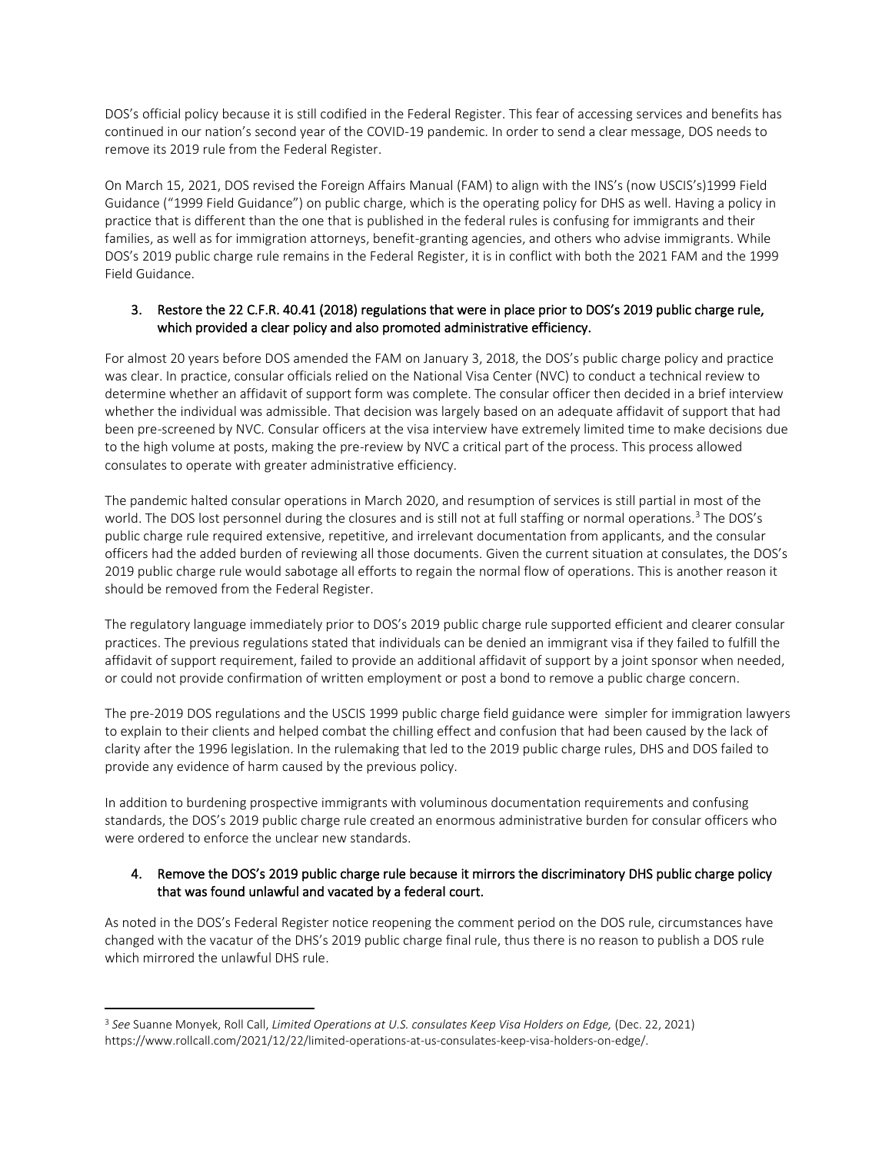DOS's official policy because it is still codified in the Federal Register. This fear of accessing services and benefits has continued in our nation's second year of the COVID-19 pandemic. In order to send a clear message, DOS needs to remove its 2019 rule from the Federal Register.

On March 15, 2021, DOS revised the Foreign Affairs Manual (FAM) to align with the INS's (now USCIS's)1999 Field Guidance ("1999 Field Guidance") on public charge, which is the operating policy for DHS as well. Having a policy in practice that is different than the one that is published in the federal rules is confusing for immigrants and their families, as well as for immigration attorneys, benefit-granting agencies, and others who advise immigrants. While DOS's 2019 public charge rule remains in the Federal Register, it is in conflict with both the 2021 FAM and the 1999 Field Guidance.

### 3. Restore the 22 C.F.R. 40.41 (2018) regulations that were in place prior to DOS's 2019 public charge rule, which provided a clear policy and also promoted administrative efficiency.

For almost 20 years before DOS amended the FAM on January 3, 2018, the DOS's public charge policy and practice was clear. In practice, consular officials relied on the National Visa Center (NVC) to conduct a technical review to determine whether an affidavit of support form was complete. The consular officer then decided in a brief interview whether the individual was admissible. That decision was largely based on an adequate affidavit of support that had been pre-screened by NVC. Consular officers at the visa interview have extremely limited time to make decisions due to the high volume at posts, making the pre-review by NVC a critical part of the process. This process allowed consulates to operate with greater administrative efficiency.

The pandemic halted consular operations in March 2020, and resumption of services is still partial in most of the world. The DOS lost personnel during the closures and is still not at full staffing or normal operations.<sup>3</sup> The DOS's public charge rule required extensive, repetitive, and irrelevant documentation from applicants, and the consular officers had the added burden of reviewing all those documents. Given the current situation at consulates, the DOS's 2019 public charge rule would sabotage all efforts to regain the normal flow of operations. This is another reason it should be removed from the Federal Register.

The regulatory language immediately prior to DOS's 2019 public charge rule supported efficient and clearer consular practices. The previous regulations stated that individuals can be denied an immigrant visa if they failed to fulfill the affidavit of support requirement, failed to provide an additional affidavit of support by a joint sponsor when needed, or could not provide confirmation of written employment or post a bond to remove a public charge concern.

The pre-2019 DOS regulations and the USCIS 1999 public charge field guidance were simpler for immigration lawyers to explain to their clients and helped combat the chilling effect and confusion that had been caused by the lack of clarity after the 1996 legislation. In the rulemaking that led to the 2019 public charge rules, DHS and DOS failed to provide any evidence of harm caused by the previous policy.

In addition to burdening prospective immigrants with voluminous documentation requirements and confusing standards, the DOS's 2019 public charge rule created an enormous administrative burden for consular officers who were ordered to enforce the unclear new standards.

## 4. Remove the DOS's 2019 public charge rule because it mirrors the discriminatory DHS public charge policy that was found unlawful and vacated by a federal court.

As noted in the DOS's Federal Register notice reopening the comment period on the DOS rule, circumstances have changed with the vacatur of the DHS's 2019 public charge final rule, thus there is no reason to publish a DOS rule which mirrored the unlawful DHS rule.

<sup>3</sup> *See* Suanne Monyek, Roll Call, *Limited Operations at U.S. consulates Keep Visa Holders on Edge,* (Dec. 22, 2021) https://www.rollcall.com/2021/12/22/limited-operations-at-us-consulates-keep-visa-holders-on-edge/.